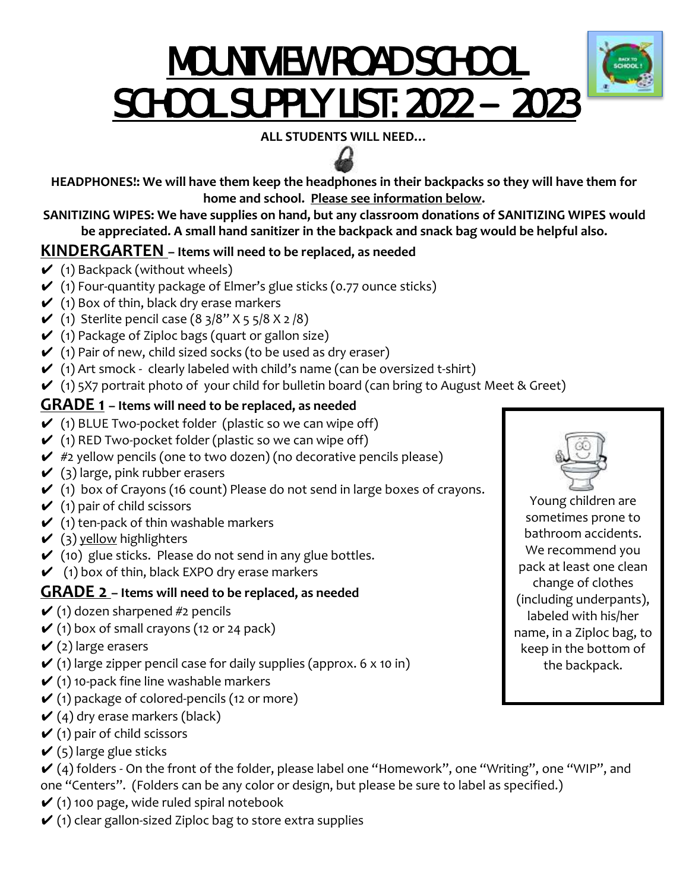# MOUNTVIEW ROAD SCHOOL SCHOOL SUPPLY LIST: 2022 **–** 2023



**ALL STUDENTS WILL NEED…**

**HEADPHONES!: We will have them keep the headphones in their backpacks so they will have them for home and school. Please see information below.**

**SANITIZING WIPES: We have supplies on hand, but any classroom donations of SANITIZING WIPES would be appreciated. A small hand sanitizer in the backpack and snack bag would be helpful also.**

#### **KINDERGARTEN – Items will need to be replaced, as needed**

- $\checkmark$  (1) Backpack (without wheels)
- $\checkmark$  (1) Four-quantity package of Elmer's glue sticks (0.77 ounce sticks)
- $\checkmark$  (1) Box of thin, black dry erase markers
- ◆ (1) Sterlite pencil case  $(8 \frac{3}{8} \times 5 \frac{5}{8} \times 2 \frac{8}{8})$
- $\checkmark$  (1) Package of Ziploc bags (quart or gallon size)
- $\checkmark$  (1) Pair of new, child sized socks (to be used as dry eraser)
- $(1)$  Art smock clearly labeled with child's name (can be oversized t-shirt)
- $(1)$  5X7 portrait photo of your child for bulletin board (can bring to August Meet & Greet)

#### **GRADE 1 – Items will need to be replaced, as needed**

- $\checkmark$  (1) BLUE Two-pocket folder (plastic so we can wipe off)
- $\checkmark$  (1) RED Two-pocket folder (plastic so we can wipe off)
- $\checkmark$  #2 yellow pencils (one to two dozen) (no decorative pencils please)
- $\checkmark$  (3) large, pink rubber erasers
- $\checkmark$  (1) box of Crayons (16 count) Please do not send in large boxes of crayons.
- $\checkmark$  (1) pair of child scissors
- $\checkmark$  (1) ten-pack of thin washable markers
- $\checkmark$  (3) yellow highlighters
- $\checkmark$  (10) glue sticks. Please do not send in any glue bottles.
- $\checkmark$  (1) box of thin, black EXPO dry erase markers

#### **GRADE 2 – Items will need to be replaced, as needed**

- $\checkmark$  (1) dozen sharpened #2 pencils
- $\checkmark$  (1) box of small crayons (12 or 24 pack)
- $\checkmark$  (2) large erasers
- $\checkmark$  (1) large zipper pencil case for daily supplies (approx. 6 x 10 in)
- $\checkmark$  (1) 10-pack fine line washable markers
- $\checkmark$  (1) package of colored-pencils (12 or more)
- $\checkmark$  (4) dry erase markers (black)
- $\checkmark$  (1) pair of child scissors
- $\checkmark$  (5) large glue sticks
- $\checkmark$  (4) folders On the front of the folder, please label one "Homework", one "Writing", one "WIP", and one "Centers". (Folders can be any color or design, but please be sure to label as specified.)
- $\checkmark$  (1) 100 page, wide ruled spiral notebook
- $\checkmark$  (1) clear gallon-sized Ziploc bag to store extra supplies



Young children are sometimes prone to bathroom accidents. We recommend you pack at least one clean change of clothes (including underpants), labeled with his/her name, in a Ziploc bag, to keep in the bottom of the backpack.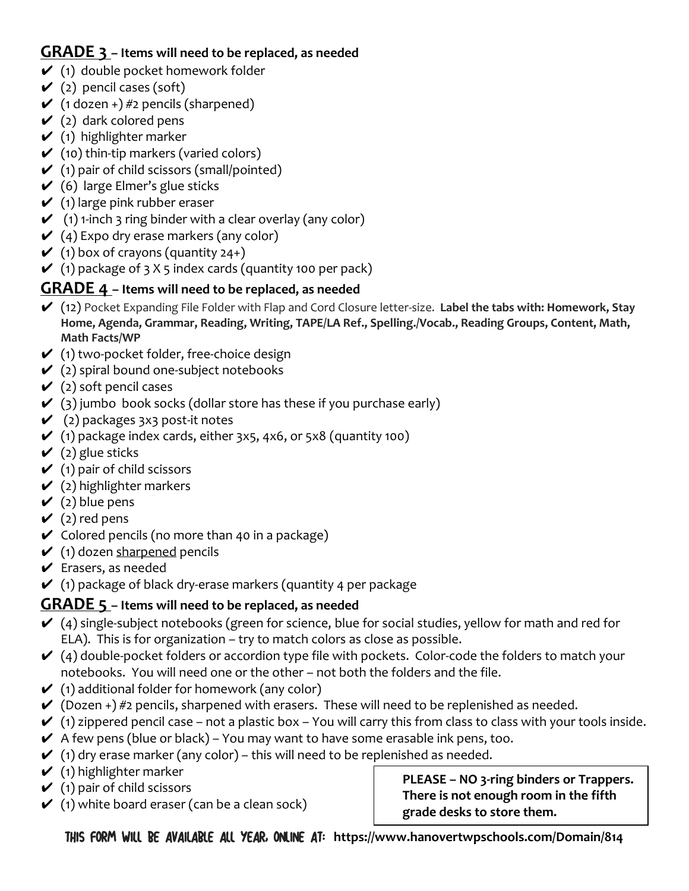#### **GRADE 3 – Items will need to be replaced, as needed**

- $\checkmark$  (1) double pocket homework folder
- $\checkmark$  (2) pencil cases (soft)
- $\checkmark$  (1 dozen +) #2 pencils (sharpened)
- $\checkmark$  (2) dark colored pens
- $\checkmark$  (1) highlighter marker
- $\checkmark$  (10) thin-tip markers (varied colors)
- $\checkmark$  (1) pair of child scissors (small/pointed)
- $(6)$  large Elmer's glue sticks
- $\checkmark$  (1) large pink rubber eraser
- $\checkmark$  (1) 1-inch 3 ring binder with a clear overlay (any color)
- $\checkmark$  (4) Expo dry erase markers (any color)
- $\checkmark$  (1) box of crayons (quantity 24+)
- $\checkmark$  (1) package of 3 X 5 index cards (quantity 100 per pack)

#### **GRADE 4 – Items will need to be replaced, as needed**

- ✔ (12) Pocket Expanding File Folder with Flap and Cord Closure letter-size. **Label the tabs with: Homework, Stay Home, Agenda, Grammar, Reading, Writing, TAPE/LA Ref., Spelling./Vocab., Reading Groups, Content, Math, Math Facts/WP**
- $\checkmark$  (1) two-pocket folder, free-choice design
- $\checkmark$  (2) spiral bound one-subject notebooks
- $\checkmark$  (2) soft pencil cases
- $\checkmark$  (3) jumbo book socks (dollar store has these if you purchase early)
- $\checkmark$  (2) packages 3x3 post-it notes
- $\checkmark$  (1) package index cards, either 3x5, 4x6, or 5x8 (quantity 100)
- $\checkmark$  (2) glue sticks
- $\checkmark$  (1) pair of child scissors
- $\checkmark$  (2) highlighter markers
- $\checkmark$  (2) blue pens
- $\checkmark$  (2) red pens
- $\checkmark$  Colored pencils (no more than 40 in a package)
- $\checkmark$  (1) dozen sharpened pencils
- $\vee$  Erasers, as needed
- $\checkmark$  (1) package of black dry-erase markers (quantity 4 per package

#### **GRADE 5 – Items will need to be replaced, as needed**

- $\checkmark$  (4) single-subject notebooks (green for science, blue for social studies, yellow for math and red for ELA). This is for organization – try to match colors as close as possible.
- $(4)$  double-pocket folders or accordion type file with pockets. Color-code the folders to match your notebooks. You will need one or the other – not both the folders and the file.
- $\checkmark$  (1) additional folder for homework (any color)
- $\checkmark$  (Dozen +) #2 pencils, sharpened with erasers. These will need to be replenished as needed.
- $\checkmark$  (1) zippered pencil case not a plastic box You will carry this from class to class with your tools inside.
- $\blacktriangleright$  A few pens (blue or black) You may want to have some erasable ink pens, too.
- $\checkmark$  (1) dry erase marker (any color) this will need to be replenished as needed.
- $\checkmark$  (1) highlighter marker
- $\checkmark$  (1) pair of child scissors
- $\checkmark$  (1) white board eraser (can be a clean sock)

**PLEASE – NO 3-ring binders or Trappers. There is not enough room in the fifth grade desks to store them.**

This form will be available all year, online at: **https://www.hanovertwpschools.com/Domain/814**